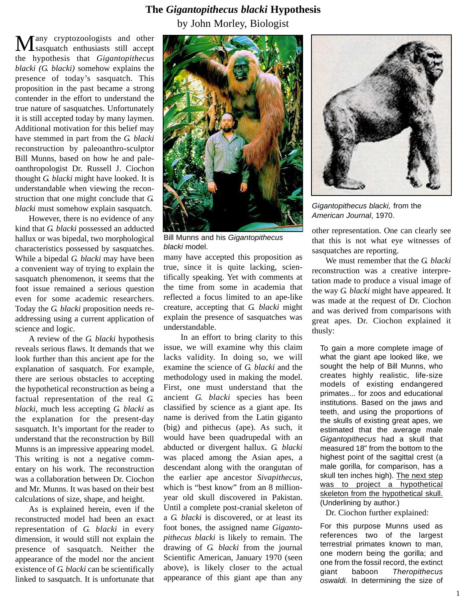## **The** *Gigantopithecus blacki* **Hypothesis**

by John Morley, Biologist

Many cryptozoologists and other sasquatch enthusiasts still accept the hypothesis that *Gigantopithecus blacki (G. blacki)* somehow explains the presence of today's sasquatch. This proposition in the past became a strong contender in the effort to understand the true nature of sasquatches. Unfortunately it is still accepted today by many laymen. Additional motivation for this belief may have stemmed in part from the *G. blacki* reconstruction by paleoanthro-sculptor Bill Munns, based on how he and paleoanthropologist Dr. Russell J. Ciochon thought *G. blacki* might have looked. It is understandable when viewing the reconstruction that one might conclude that *G. blacki* must somehow explain sasquatch.

However, there is no evidence of any kind that *G. blacki* possessed an adducted hallux or was bipedal, two morphological characteristics possessed by sasquatches. While a bipedal *G. blacki* may have been a convenient way of trying to explain the sasquatch phenomenon, it seems that the foot issue remained a serious question even for some academic researchers. Today the *G. blacki* proposition needs readdressing using a current application of science and logic.

A review of the *G. blacki* hypothesis reveals serious flaws. It demands that we look further than this ancient ape for the explanation of sasquatch. For example, there are serious obstacles to accepting the hypothetical reconstruction as being a factual representation of the real *G. blacki,* much less accepting *G. blacki* as the explanation for the present-day sasquatch. It's important for the reader to understand that the reconstruction by Bill Munns is an impressive appearing model. This writing is not a negative commentary on his work. The reconstruction was a collaboration between Dr. Ciochon and Mr. Munns. It was based on their best calculations of size, shape, and height.

As is explained herein, even if the reconstructed model had been an exact representation of *G. blacki* in every dimension, it would still not explain the presence of sasquatch. Neither the appearance of the model nor the ancient existence of *G. blacki* can be scientifically linked to sasquatch. It is unfortunate that



Bill Munns and his Gigantopithecus blacki model.

many have accepted this proposition as true, since it is quite lacking, scientifically speaking. Yet with comments at the time from some in academia that reflected a focus limited to an ape-like creature, accepting that *G. blacki* might explain the presence of sasquatches was understandable.

In an effort to bring clarity to this issue, we will examine why this claim lacks validity. In doing so, we will examine the science of *G. blacki* and the methodology used in making the model. First, one must understand that the ancient *G. blacki* species has been classified by science as a giant ape. Its name is derived from the Latin giganto (big) and pithecus (ape). As such, it would have been quadrupedal with an abducted or divergent hallux. *G. blacki* was placed among the Asian apes, a descendant along with the orangutan of the earlier ape ancestor *Sivapithecus,* which is "best know" from an 8 millionyear old skull discovered in Pakistan. Until a complete post-cranial skeleton of a *G. blacki* is discovered, or at least its foot bones, the assigned name *Gigantopithecus blacki* is likely to remain. The drawing of *G. blacki* from the journal Scientific American, January 1970 (seen above), is likely closer to the actual appearance of this giant ape than any



Gigantopithecus blacki, from the American Journal, 1970.

other representation. One can clearly see that this is not what eye witnesses of sasquatches are reporting.

We must remember that the *G. blacki* reconstruction was a creative interpretation made to produce a visual image of the way *G. blacki* might have appeared. It was made at the request of Dr. Ciochon and was derived from comparisons with great apes. Dr. Ciochon explained it thusly:

To gain a more complete image of what the giant ape looked like, we sought the help of Bill Munns, who creates highly realistic, life-size models of existing endangered primates... for zoos and educational institutions. Based on the jaws and teeth, and using the proportions of the skulls of existing great apes, we estimated that the average male Gigantopithecus had a skull that measured 18" from the bottom to the highest point of the sagittal crest (a male gorilla, for comparison, has a skull ten inches high). The next step was to project a hypothetical skeleton from the hypothetical skull. (Underlining by author.)

Dr. Ciochon further explained:

For this purpose Munns used as references two of the largest terrestrial primates known to man, one modern being the gorilla; and one from the fossil record, the extinct giant baboon Theropithecus oswaldi. In determining the size of